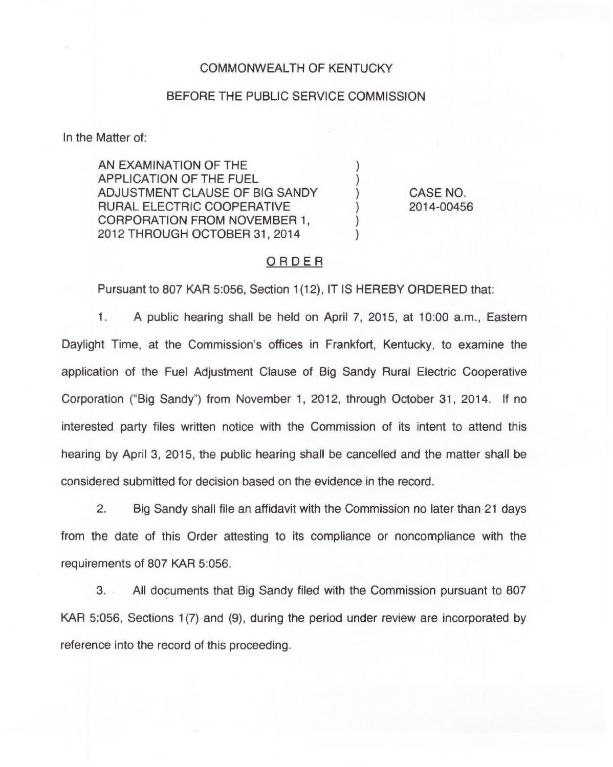## COMMONWEALTH OF KENTUCKY

#### BEFORE THE PUBLIC SERVICE COMMISSION

In the Matter of:

AN EXAMINATION OF THE APPLICATION OF THE FUEL ADJUSTMENT CLAUSE OF BIG SANDY RURAL ELECTRIC COOPERATIVE CORPORATION FROM NOVEMBER 1, 2012 THROUGH OCTOBER 31, 2014

CASE NO. 2014-00456

### ORDER

 $\mathcal{E}$  $\mathcal{E}$ 

Pursuant to 807 KAR 5:056, Section 1(12), IT IS HEREBY ORDERED that:

1. <sup>A</sup> public hearing shall be held on April 7, 2015, at 10:00 a.m., Eastern Daylight Time, at the Commission's offices in Frankfort, Kentucky, to examine the application of the Fuel Adjustment Clause of Big Sandy Rural Electric Cooperative Corporation ("Big Sandy") from November 1, 2012, through October 31, 2014. If no interested party files written notice with the Commission of its intent to attend this hearing by April 3, 2015, the public hearing shall be cancelled and the matter shall be considered submitted for decision based on the evidence in the record.

2. Big Sandy shall file an affidavit with the Commission no later than 21 days from the date of this Order attesting to its compliance or noncompliance with the requirements of 807 KAR 5:056.

3. All documents that Big Sandy filed with the Commission pursuant to 807 KAR 5:056, Sections 1(7) and (9), during the period under review are incorporated by reference into the record of this proceeding.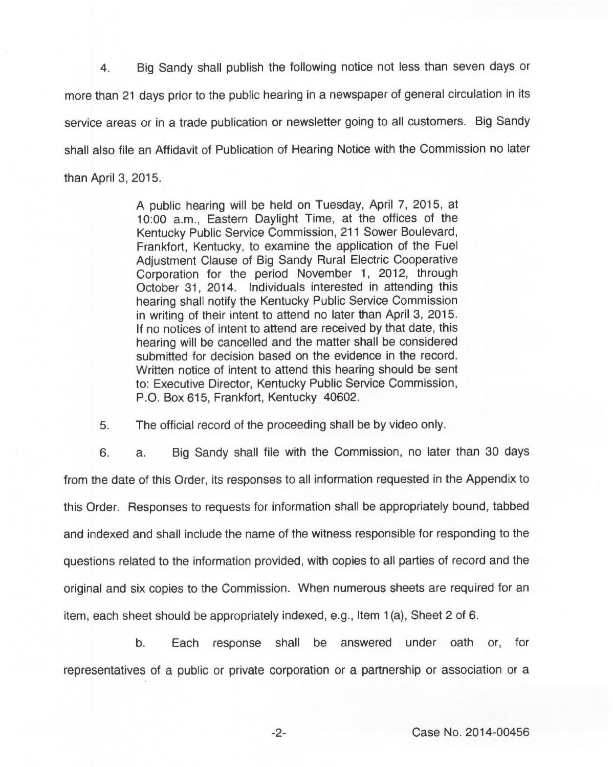4. Big Sandy shall publish the following notice not less than seven days or more than 21 days prior to the public hearing in a newspaper of general circulation in its service areas or in a trade publication or newsletter going to all customers. Big Sandy shall also file an Affidavit of Publication of Hearing Notice with the Commission no later than April 3, 2015.

> A public hearing will be held on Tuesday, April 7, 2015, at 10:00 a.m., Eastern Daylight Time, at the offices of the Kentucky Public Service Commission, 211 Sower Boulevard, Frankfort, Kentucky, to examine the application of the Fuel Adjustment Clause of Big Sandy Rural Electric Cooperative Corporation for the period November 1, 2012, through October 31, 2014. Individuals interested in attending this hearing shall notify the Kentucky Public Service Commission in writing of their intent to attend no later than April 3, 2015. If no notices of intent to attend are received by that date, this hearing will be cancelled and the matter shall be considered submitted for decision based on the evidence in the record. Written notice of intent to attend this hearing should be sent to: Executive Director, Kentucky Public Service Commission, P.O. Box 615, Frankfort, Kentucky 40602.

5. The official record of the proceeding shall be by video only.

6. a. Big Sandy shall file with the Commission, no later than 30 days from the date of this Order, its responses to all information requested in the Appendix to this Order. Responses to requests for information shall be appropriately bound, tabbed and indexed and shall include the name of the witness responsible for responding to the questions related to the information provided, with copies to all parties of record and the original and six copies to the Commission. When numerous sheets are required for an item, each sheet should be appropriately indexed, e.g., Item 1(a), Sheet 2 of 6.

b. Each response shall be answered under oath or, for representatives of a public or private corporation or a partnership or association or a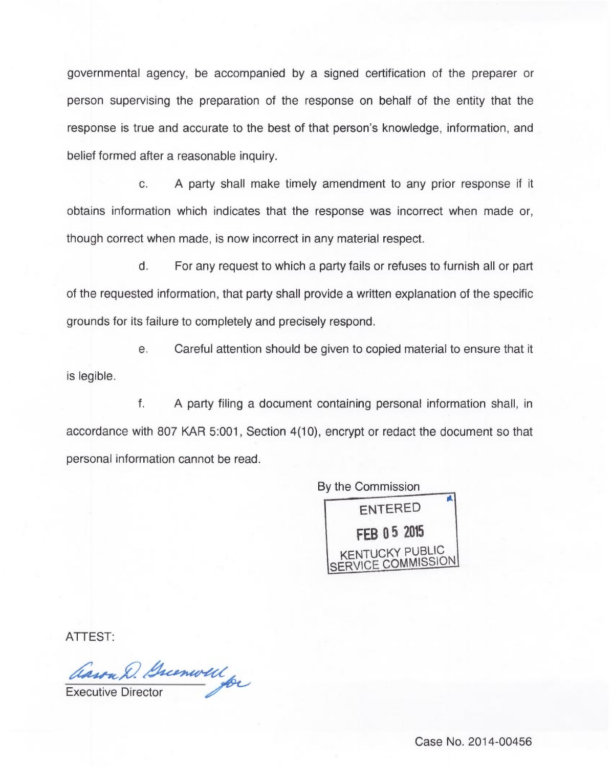governmental agency, be accompanied by a signed certification of the preparer or person supervising the preparation of the response on behalf of the entity that the response is true and accurate to the best of that person's knowledge, information, and belief formed after a reasonable inquiry.

c. A party shall make timely amendment to any prior response if it obtains information which indicates that the response was incorrect when made or, though correct when made, is now incorrect in any material respect.

d. For any request to which a party fails or refuses to furnish all or part of the requested information, that party shall provide a written explanation of the specific grounds for its failure to completely and precisely respond.

e. Careful attention should be given to copied material to ensure that it is legible.

f. A party filing a document containing personal information shall, in accordance with 807 KAR 5:001, Section 4(10), encrypt or redact the document so that personal information cannot be read.



ATTEST

Cassa D. Greenwell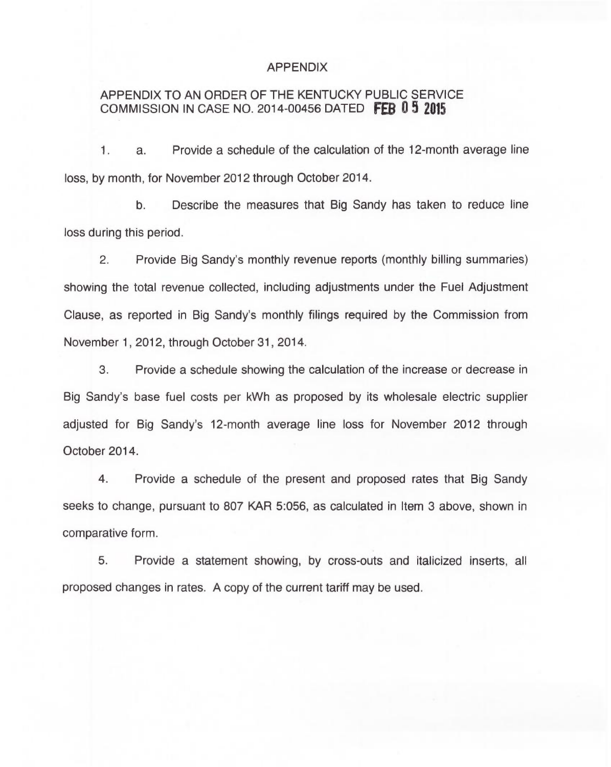### APPENDIX

# APPENDIX TO AN ORDER OF THE KENTUCKY PUBLIC SERVICE COMMISSION IN CASE NO. 2014-00456 DATED FEB  $0.5$  2015

1. a. Provide a schedule of the calculation of the 12-month average line loss, by month, for November 2012 through October 2014.

b. Describe the measures that Big Sandy has taken to reduce line loss during this period.

2. Provide Big Sandy's monthly revenue reports (monthly billing summaries) showing the total revenue collected, including adjustments under the Fuel Adjustment Clause, as reported in Big Sandy's monthly filings required by the Commission from November 1, 2012, through October 31, 2014.

3. Provide a schedule showing the calculation of the increase or decrease in Big Sandy's base fuel costs per kWh as proposed by its wholesale electric supplier adjusted for Big Sandy's 12-month average line loss for November 2012 through October 2014.

4. Provide a schedule of the present and proposed rates that Big Sandy seeks to change, pursuant to 807 KAR 5:056, as calculated in Item 3 above, shown in comparative form.

5. Provide a statement showing, by cross-outs and italicized inserts, all proposed changes in rates. A copy of the current tariff may be used.